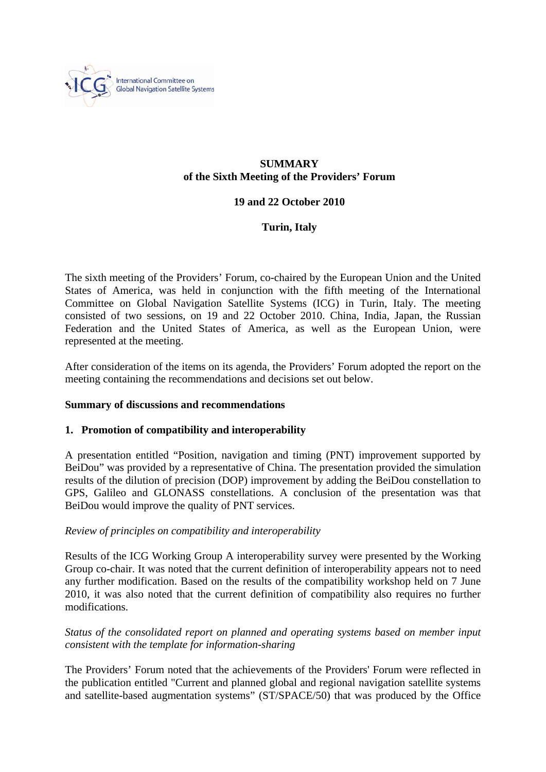

#### **SUMMARY of the Sixth Meeting of the Providers' Forum**

# **19 and 22 October 2010**

# **Turin, Italy**

The sixth meeting of the Providers' Forum, co-chaired by the European Union and the United States of America, was held in conjunction with the fifth meeting of the International Committee on Global Navigation Satellite Systems (ICG) in Turin, Italy. The meeting consisted of two sessions, on 19 and 22 October 2010. China, India, Japan, the Russian Federation and the United States of America, as well as the European Union, were represented at the meeting.

After consideration of the items on its agenda, the Providers' Forum adopted the report on the meeting containing the recommendations and decisions set out below.

## **Summary of discussions and recommendations**

## **1. Promotion of compatibility and interoperability**

A presentation entitled "Position, navigation and timing (PNT) improvement supported by BeiDou" was provided by a representative of China. The presentation provided the simulation results of the dilution of precision (DOP) improvement by adding the BeiDou constellation to GPS, Galileo and GLONASS constellations. A conclusion of the presentation was that BeiDou would improve the quality of PNT services.

## *Review of principles on compatibility and interoperability*

Results of the ICG Working Group A interoperability survey were presented by the Working Group co-chair. It was noted that the current definition of interoperability appears not to need any further modification. Based on the results of the compatibility workshop held on 7 June 2010, it was also noted that the current definition of compatibility also requires no further modifications.

*Status of the consolidated report on planned and operating systems based on member input consistent with the template for information-sharing* 

The Providers' Forum noted that the achievements of the Providers' Forum were reflected in the publication entitled "Current and planned global and regional navigation satellite systems and satellite-based augmentation systems" (ST/SPACE/50) that was produced by the Office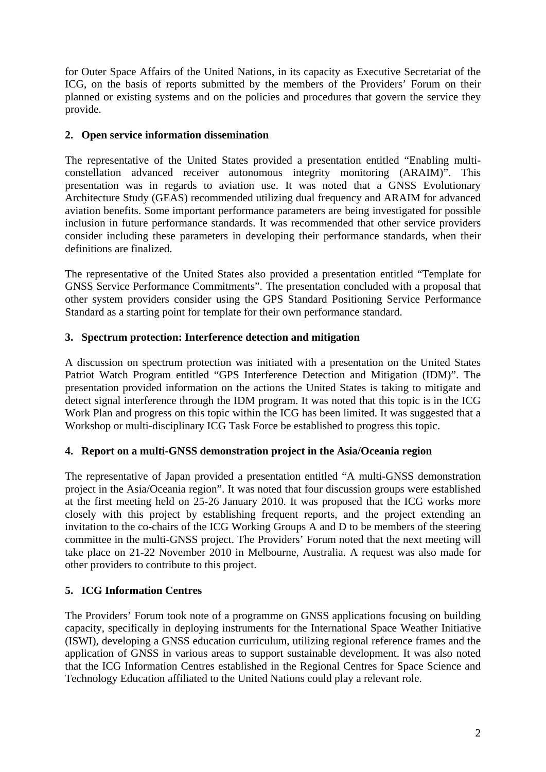for Outer Space Affairs of the United Nations, in its capacity as Executive Secretariat of the ICG, on the basis of reports submitted by the members of the Providers' Forum on their planned or existing systems and on the policies and procedures that govern the service they provide.

# **2. Open service information dissemination**

The representative of the United States provided a presentation entitled "Enabling multiconstellation advanced receiver autonomous integrity monitoring (ARAIM)". This presentation was in regards to aviation use. It was noted that a GNSS Evolutionary Architecture Study (GEAS) recommended utilizing dual frequency and ARAIM for advanced aviation benefits. Some important performance parameters are being investigated for possible inclusion in future performance standards. It was recommended that other service providers consider including these parameters in developing their performance standards, when their definitions are finalized.

The representative of the United States also provided a presentation entitled "Template for GNSS Service Performance Commitments". The presentation concluded with a proposal that other system providers consider using the GPS Standard Positioning Service Performance Standard as a starting point for template for their own performance standard.

# **3. Spectrum protection: Interference detection and mitigation**

A discussion on spectrum protection was initiated with a presentation on the United States Patriot Watch Program entitled "GPS Interference Detection and Mitigation (IDM)". The presentation provided information on the actions the United States is taking to mitigate and detect signal interference through the IDM program. It was noted that this topic is in the ICG Work Plan and progress on this topic within the ICG has been limited. It was suggested that a Workshop or multi-disciplinary ICG Task Force be established to progress this topic.

## **4. Report on a multi-GNSS demonstration project in the Asia/Oceania region**

The representative of Japan provided a presentation entitled "A multi-GNSS demonstration project in the Asia/Oceania region". It was noted that four discussion groups were established at the first meeting held on 25-26 January 2010. It was proposed that the ICG works more closely with this project by establishing frequent reports, and the project extending an invitation to the co-chairs of the ICG Working Groups A and D to be members of the steering committee in the multi-GNSS project. The Providers' Forum noted that the next meeting will take place on 21-22 November 2010 in Melbourne, Australia. A request was also made for other providers to contribute to this project.

# **5. ICG Information Centres**

The Providers' Forum took note of a programme on GNSS applications focusing on building capacity, specifically in deploying instruments for the International Space Weather Initiative (ISWI), developing a GNSS education curriculum, utilizing regional reference frames and the application of GNSS in various areas to support sustainable development. It was also noted that the ICG Information Centres established in the Regional Centres for Space Science and Technology Education affiliated to the United Nations could play a relevant role.